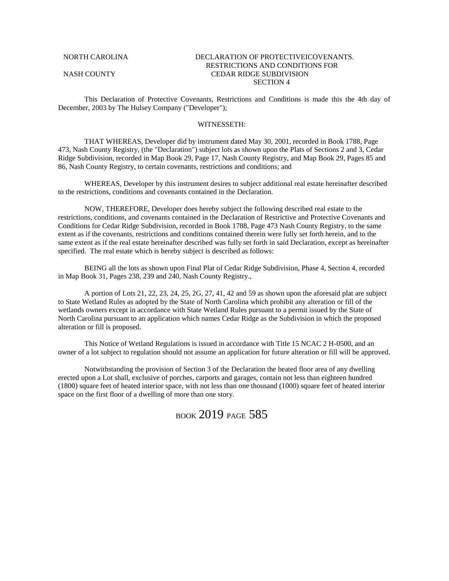## NORTH CAROLINA DECLARATION OF PROTECTIVEICOVENANTS. RESTRICTIONS AND CONDITIONS FOR NASH COUNTY CEDAR RIDGE SUBDIVISION SECTION 4

This Declaration of Protective Covenants, Restrictions and Conditions is made this the 4th day of December, 2003 by The Hulsey Company ("Developer");

## WITNESSETH:

THAT WHEREAS, Developer did by instrument dated May 30, 2001, recorded in Book 1788, Page 473, Nash County Registry, (the "Declaration") subject lots as shown upon the Plats of Sections 2 and 3, Cedar Ridge Subdivision, recorded in Map Book 29, Page 17, Nash County Registry, and Map Book 29, Pages 85 and 86, Nash County Registry, to certain covenants, restrictions and conditions; and

WHEREAS, Developer by this instrument desires to subject additional real estate hereinafter described to the restrictions, conditions and covenants contained in the Declaration.

NOW, THEREFORE, Developer does hereby subject the following described real estate to the restrictions, conditions, and covenants contained in the Declaration of Restrictive and Protective Covenants and Conditions for Cedar Ridge Subdivision, recorded in Book 1788, Page 473 Nash County Registry, to the same extent as if the covenants, restrictions and conditions contained therein were fully set forth herein, and to the same extent as if the real estate hereinafter described was fully set forth in said Declaration, except as hereinafter specified. The real estate which is hereby subject is described as follows:

BEING all the lots as shown upon Final Plat of Cedar Ridge Subdivision, Phase 4, Section 4, recorded in Map Book 31, Pages 238, 239 and 240, Nash County Registry.,

A portion of Lots 21, 22, 23, 24, 25, 2G, 27, 41, 42 and 59 as shown upon the aforesaid plat are subject to State Wetland Rules as adopted by the State of North Carolina which prohibit any alteration or fill of the wetlands owners except in accordance with State Wetland Rules pursuant to a permit issued by the State of North Carolina pursuant to an application which names Cedar Ridge as the Subdivision in which the proposed alteration or fill is proposed.

This Notice of Wetland Regulations is issued in accordance with Title 15 NCAC 2 H-0500, and an owner of a lot subject to regulation should not assume an application for future alteration or fill will be approved.

Notwithstanding the provision of Section 3 of the Declaration the heated floor area of any dwelling erected upon a Lot shall, exclusive of porches, carports and garages, contain not less than eighteen hundred (1800) square feet of heated interior space, with not less than one thousand (1000) square feet of heated interior space on the first floor of a dwelling of more than one story.

BOOK 2019 PAGE 585